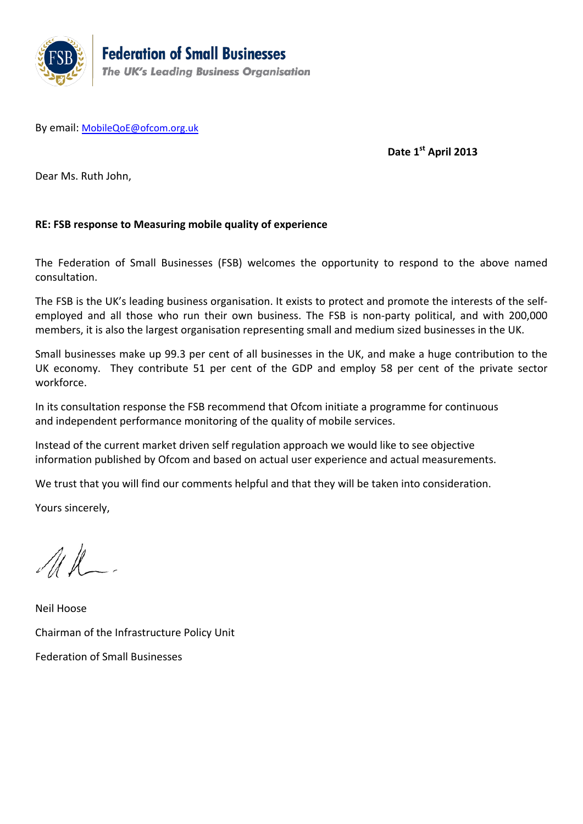

By email: [MobileQoE@ofcom.org.uk](mailto:MobileQoE@ofcom.org.uk)

**Date 1st April 2013**

Dear Ms. Ruth John,

## **RE: FSB response to Measuring mobile quality of experience**

The Federation of Small Businesses (FSB) welcomes the opportunity to respond to the above named consultation.

The FSB is the UK's leading business organisation. It exists to protect and promote the interests of the selfemployed and all those who run their own business. The FSB is non-party political, and with 200,000 members, it is also the largest organisation representing small and medium sized businesses in the UK.

Small businesses make up 99.3 per cent of all businesses in the UK, and make a huge contribution to the UK economy. They contribute 51 per cent of the GDP and employ 58 per cent of the private sector workforce.

In its consultation response the FSB recommend that Ofcom initiate a programme for continuous and independent performance monitoring of the quality of mobile services.

Instead of the current market driven self regulation approach we would like to see objective information published by Ofcom and based on actual user experience and actual measurements.

We trust that you will find our comments helpful and that they will be taken into consideration.

Yours sincerely,

 $\mathcal{A}\ell$ 

Neil Hoose Chairman of the Infrastructure Policy Unit Federation of Small Businesses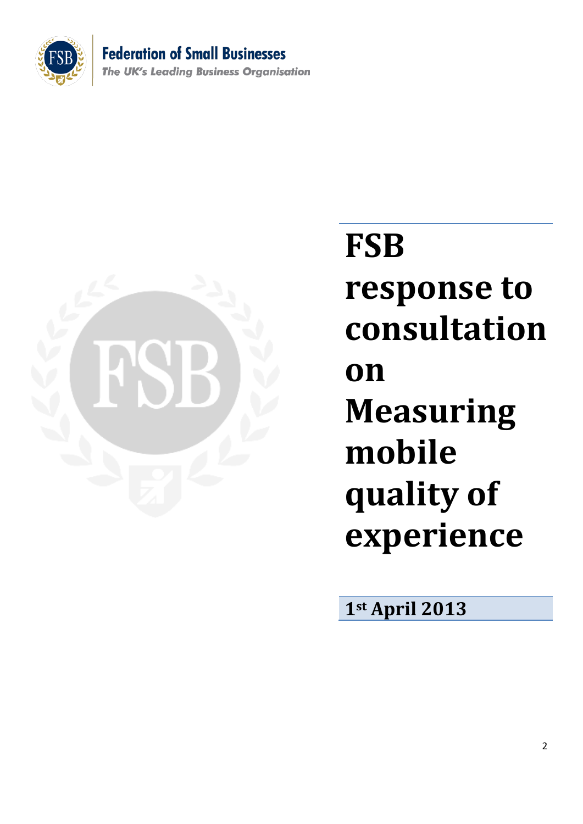

**Federation of Small Businesses The UK's Leading Business Organisation** 



## **FSB response to consultation on Measuring mobile quality of experience**

**1st April 2013**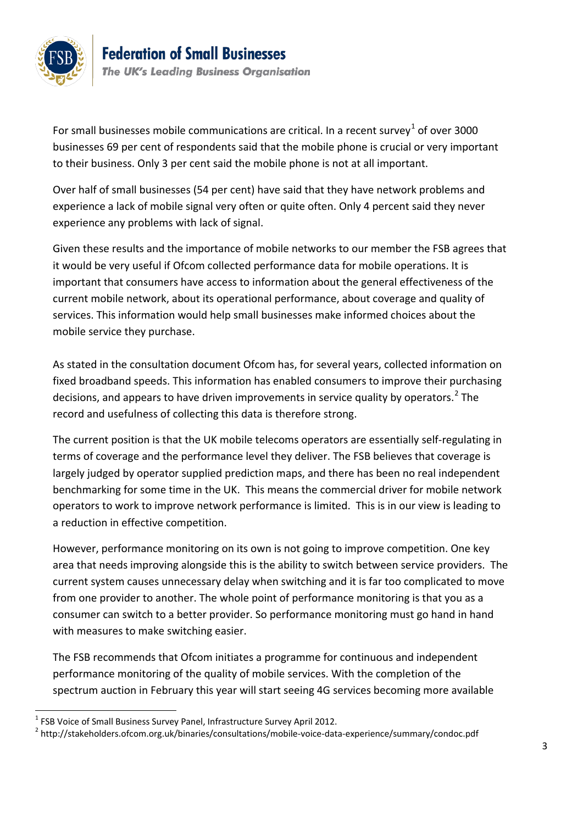

For small businesses mobile communications are critical. In a recent survey<sup>[1](#page-2-0)</sup> of over 3000 businesses 69 per cent of respondents said that the mobile phone is crucial or very important to their business. Only 3 per cent said the mobile phone is not at all important.

Over half of small businesses (54 per cent) have said that they have network problems and experience a lack of mobile signal very often or quite often. Only 4 percent said they never experience any problems with lack of signal.

Given these results and the importance of mobile networks to our member the FSB agrees that it would be very useful if Ofcom collected performance data for mobile operations. It is important that consumers have access to information about the general effectiveness of the current mobile network, about its operational performance, about coverage and quality of services. This information would help small businesses make informed choices about the mobile service they purchase.

As stated in the consultation document Ofcom has, for several years, collected information on fixed broadband speeds. This information has enabled consumers to improve their purchasing decisions, and appears to have driven improvements in service quality by operators.<sup>[2](#page-2-1)</sup> The record and usefulness of collecting this data is therefore strong.

The current position is that the UK mobile telecoms operators are essentially self-regulating in terms of coverage and the performance level they deliver. The FSB believes that coverage is largely judged by operator supplied prediction maps, and there has been no real independent benchmarking for some time in the UK. This means the commercial driver for mobile network operators to work to improve network performance is limited. This is in our view is leading to a reduction in effective competition.

However, performance monitoring on its own is not going to improve competition. One key area that needs improving alongside this is the ability to switch between service providers. The current system causes unnecessary delay when switching and it is far too complicated to move from one provider to another. The whole point of performance monitoring is that you as a consumer can switch to a better provider. So performance monitoring must go hand in hand with measures to make switching easier.

The FSB recommends that Ofcom initiates a programme for continuous and independent performance monitoring of the quality of mobile services. With the completion of the spectrum auction in February this year will start seeing 4G services becoming more available

<span id="page-2-0"></span><sup>&</sup>lt;sup>1</sup> FSB Voice of Small Business Survey Panel, Infrastructure Survey April 2012.

<span id="page-2-1"></span><sup>2</sup> http://stakeholders.ofcom.org.uk/binaries/consultations/mobile-voice-data-experience/summary/condoc.pdf